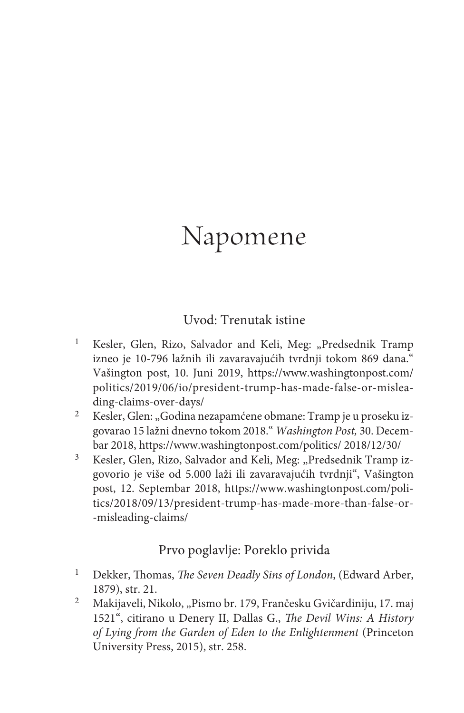# Napomene

#### Uvod: Trenutak istine

- <sup>1</sup> Kesler, Glen, Rizo, Salvador and Keli, Meg: "Predsednik Tramp izneo je 10-796 lažnih ili zavaravajućih tvrdnji tokom 869 dana." Vašington post, 10. Juni 2019, https://www.washingtonpost.com/ politics/2019/06/io/president-trump-has-made-false-or-misleading-claims-over-days/
- <sup>2</sup> Kesler, Glen: "Godina nezapamćene obmane: Tramp je u proseku izgovarao 15 lažni dnevno tokom 2018." *Washington Post,* 30. Decembar 2018, https://www.washingtonpost.com/politics/ 2018/12/30/
- <sup>3</sup> Kesler, Glen, Rizo, Salvador and Keli, Meg: "Predsednik Tramp izgovorio je više od 5.000 laži ili zavaravajućih tvrdnji", Vašington post, 12. Septembar 2018, https://www.washingtonpost.com/politics/2018/09/13/president-trump-has-made-more-than-false-or- -misleading-claims/

## Prvo poglavlje: Poreklo privida

- <sup>1</sup> Dekker, Thomas, *The Seven Deadly Sins of London*, (Edward Arber, 1879), str. 21.
- <sup>2</sup> Makijaveli, Nikolo, "Pismo br. 179, Frančesku Gvičardiniju, 17. maj 1521", citirano u Denery II, Dallas G., *The Devil Wins: A History of Lying from the Garden of Eden to the Enlightenment* (Princeton University Press, 2015), str. 258.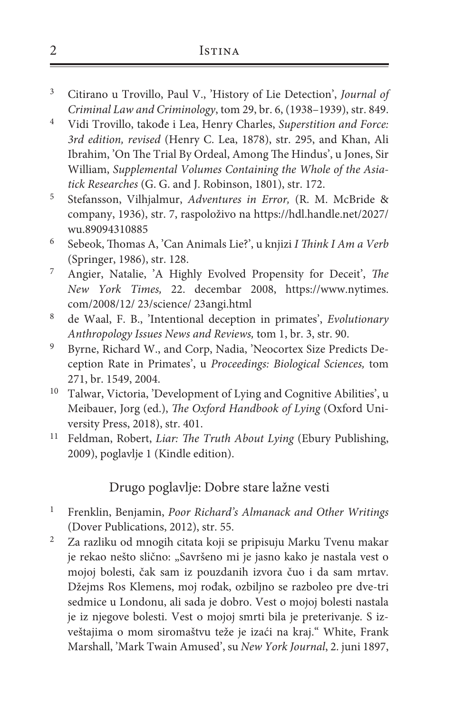#### 2 Istina

- <sup>3</sup> Citirano u Trovillo, Paul V., 'History of Lie Detection', *Journal of Criminal Law and Criminology*, tom 29, br. 6, (1938–1939), str. 849.
- <sup>4</sup> Vidi Trovillo, takođe i Lea, Henry Charles, *Superstition and Force: 3rd edition, revised* (Henry C. Lea, 1878), str. 295, and Khan, Ali Ibrahim, 'On The Trial By Ordeal, Among The Hindus', u Jones, Sir William, *Supplemental Volumes Containing the Whole of the Asiatick Researches* (G. G. and J. Robinson, 1801), str. 172.
- <sup>5</sup> Stefansson, Vilhjalmur, *Adventures in Error,* (R. M. McBride & company, 1936), str. 7, raspoloživo na https://hdl.handle.net/2027/ wu.89094310885
- <sup>6</sup> Sebeok, Thomas A, 'Can Animals Lie?', u knjizi *I Think I Am a Verb*  (Springer, 1986), str. 128.
- <sup>7</sup> Angier, Natalie, 'A Highly Evolved Propensity for Deceit', *The New York Times,* 22. decembar 2008, https://www.nytimes. com/2008/12/ 23/science/ 23angi.html
- <sup>8</sup> de Waal, F. B., 'Intentional deception in primates', *Evolutionary Anthropology Issues News and Reviews,* tom 1, br. 3, str. 90.
- <sup>9</sup> Byrne, Richard W., and Corp, Nadia, 'Neocortex Size Predicts Deception Rate in Primates', u *Proceedings: Biological Sciences,* tom 271, br. 1549, 2004.
- <sup>10</sup> Talwar, Victoria, 'Development of Lying and Cognitive Abilities', u Meibauer, Jorg (ed.), *The Oxford Handbook of Lying* (Oxford University Press, 2018), str. 401.
- <sup>11</sup> Feldman, Robert, *Liar: The Truth About Lying* (Ebury Publishing, 2009), poglavlje 1 (Kindle edition).

#### Drugo poglavlje: Dobre stare lažne vesti

- <sup>1</sup> Frenklin, Benjamin, *Poor Richard's Almanack and Other Writings*  (Dover Publications, 2012), str. 55.
- <sup>2</sup> Za razliku od mnogih citata koji se pripisuju Marku Tvenu makar je rekao nešto slično: "Savršeno mi je jasno kako je nastala vest o mojoj bolesti, čak sam iz pouzdanih izvora čuo i da sam mrtav. Džejms Ros Klemens, moj rođak, ozbiljno se razboleo pre dve-tri sedmice u Londonu, ali sada je dobro. Vest o mojoj bolesti nastala je iz njegove bolesti. Vest o mojoj smrti bila je preterivanje. S izveštajima o mom siromaštvu teže je izaći na kraj." White, Frank Marshall, 'Mark Twain Amused', su *New York Journal*, 2. juni 1897,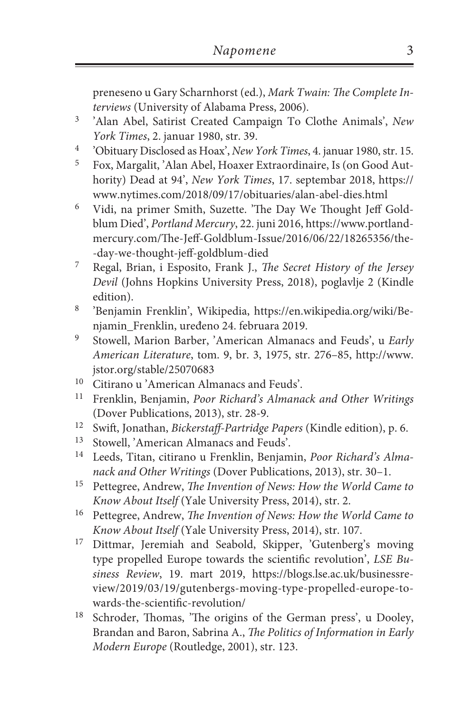preneseno u Gary Scharnhorst (ed.), *Mark Twain: The Complete Interviews* (University of Alabama Press, 2006).

- <sup>3</sup> 'Alan Abel, Satirist Created Campaign To Clothe Animals', *New York Times*, 2. januar 1980, str. 39.
- <sup>4</sup> 'Obituary Disclosed as Hoax', *New York Times*, 4. januar 1980, str. 15.
- <sup>5</sup> Fox, Margalit, 'Alan Abel, Hoaxer Extraordinaire, Is (on Good Authority) Dead at 94', *New York Times*, 17. septembar 2018, https:// www.nytimes.com/2018/09/17/obituaries/alan-abel-dies.html
- <sup>6</sup> Vidi, na primer Smith, Suzette. 'The Day We Thought Jeff Goldblum Died', *Portland Mercury*, 22. juni 2016, https://www.portlandmercury.com/The-Jeff-Goldblum-Issue/2016/06/22/18265356/the- -day-we-thought-jeff-goldblum-died
- <sup>7</sup> Regal, Brian, i Esposito, Frank J., *The Secret History of the Jersey Devil* (Johns Hopkins University Press, 2018), poglavlje 2 (Kindle edition).
- <sup>8</sup> 'Benjamin Frenklin', Wikipedia, https://en.wikipedia.org/wiki/Benjamin\_Frenklin, uređeno 24. februara 2019.
- <sup>9</sup> Stowell, Marion Barber, 'American Almanacs and Feuds', u *Early American Literature*, tom. 9, br. 3, 1975, str. 276–85, http://www. jstor.org/stable/25070683
- <sup>10</sup> Citirano u 'American Almanacs and Feuds'.
- <sup>11</sup> Frenklin, Benjamin, *Poor Richard's Almanack and Other Writings*  (Dover Publications, 2013), str. 28-9.
- <sup>12</sup> Swift, Jonathan, *Bickerstaff-Partridge Papers* (Kindle edition), p. 6.
- Stowell, 'American Almanacs and Feuds'.
- <sup>14</sup> Leeds, Titan, citirano u Frenklin, Benjamin, *Poor Richard's Almanack and Other Writings* (Dover Publications, 2013), str. 30–1.
- <sup>15</sup> Pettegree, Andrew, *The Invention of News: How the World Came to Know About Itself* (Yale University Press, 2014), str. 2.
- <sup>16</sup> Pettegree, Andrew, *The Invention of News: How the World Came to Know About Itself* (Yale University Press, 2014), str. 107.
- <sup>17</sup> Dittmar, Jeremiah and Seabold, Skipper, 'Gutenberg's moving type propelled Europe towards the scientific revolution', *LSE Business Review*, 19. mart 2019, https://blogs.lse.ac.uk/businessreview/2019/03/19/gutenbergs-moving-type-propelled-europe-towards-the-scientific-revolution/
- <sup>18</sup> Schroder, Thomas, 'The origins of the German press', u Dooley, Brandan and Baron, Sabrina A., *The Politics of Information in Early Modern Europe* (Routledge, 2001), str. 123.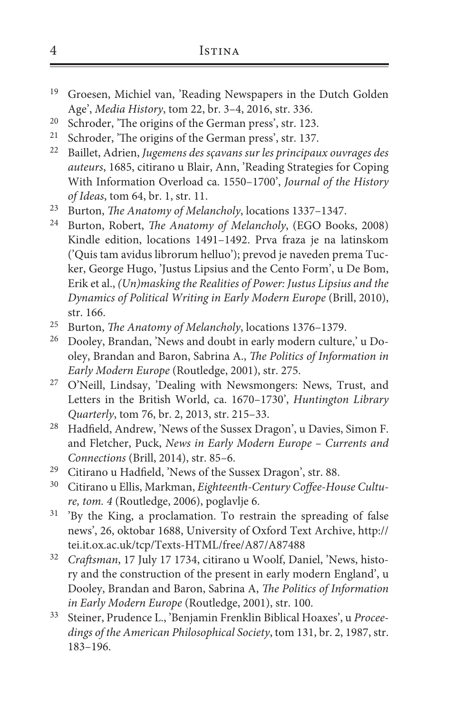- <sup>19</sup> Groesen, Michiel van, 'Reading Newspapers in the Dutch Golden Age', *Media History*, tom 22, br. 3–4, 2016, str. 336.
- <sup>20</sup> Schroder, 'The origins of the German press', str. 123.<br><sup>21</sup> Schroder, 'The origins of the German press', str. 137
- Schroder, 'The origins of the German press', str. 137.
- <sup>22</sup> Baillet, Adrien, *Jugemens des sçavans sur les principaux ouvrages des auteurs*, 1685, citirano u Blair, Ann, 'Reading Strategies for Coping With Information Overload ca. 1550–1700', *Journal of the History of Ideas*, tom 64, br. 1, str. 11.
- <sup>23</sup> Burton, *The Anatomy of Melancholy*, locations 1337–1347.
- <sup>24</sup> Burton, Robert, *The Anatomy of Melancholy*, (EGO Books, 2008) Kindle edition, locations 1491–1492. Prva fraza je na latinskom ('Quis tam avidus librorum helluo'); prevod je naveden prema Tucker, George Hugo, 'Justus Lipsius and the Cento Form', u De Bom, Erik et al., *(Un)masking the Realities of Power: Justus Lipsius and the Dynamics of Political Writing in Early Modern Europe* (Brill, 2010), str. 166.
- <sup>25</sup> Burton, *The Anatomy of Melancholy*, locations 1376–1379.<br><sup>26</sup> Dooley, Brandan 'News and doubt in early modern culture
- <sup>26</sup> Dooley, Brandan, 'News and doubt in early modern culture,' u Dooley, Brandan and Baron, Sabrina A., *The Politics of Information in Early Modern Europe* (Routledge, 2001), str. 275.
- <sup>27</sup> O'Neill, Lindsay, 'Dealing with Newsmongers: News, Trust, and Letters in the British World, ca. 1670–1730', *Huntington Library Quarterly*, tom 76, br. 2, 2013, str. 215–33.
- <sup>28</sup> Hadfield, Andrew, 'News of the Sussex Dragon', u Davies, Simon F. and Fletcher, Puck, *News in Early Modern Europe – Currents and Connections* (Brill, 2014), str. 85–6.
- <sup>29</sup> Citirano u Hadfield, 'News of the Sussex Dragon', str. 88.<br><sup>30</sup> Citirano u Ellis Markman, *Eighteewth Century Coffee Ho*
- <sup>30</sup> Citirano u Ellis, Markman, *Eighteenth-Century Coffee-House Culture, tom. 4* (Routledge, 2006), poglavlje 6.
- <sup>31</sup> 'By the King, a proclamation. To restrain the spreading of false news', 26, oktobar 1688, University of Oxford Text Archive, http:// tei.it.ox.ac.uk/tcp/Texts-HTML/free/A87/A87488
- <sup>32</sup> *Craftsman*, 17 July 17 1734, citirano u Woolf, Daniel, 'News, history and the construction of the present in early modern England', u Dooley, Brandan and Baron, Sabrina A, *The Politics of Information in Early Modern Europe* (Routledge, 2001), str. 100.
- <sup>33</sup> Steiner, Prudence L., 'Benjamin Frenklin Biblical Hoaxes', u *Proceedings of the American Philosophical Society*, tom 131, br. 2, 1987, str. 183–196.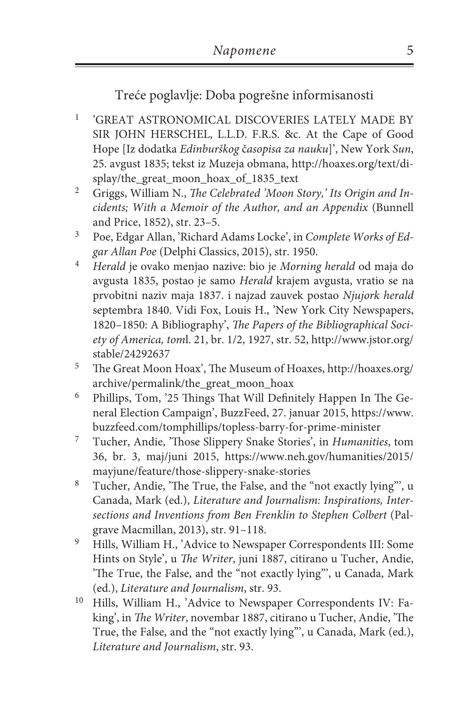Treće poglavlje: Doba pogrešne informisanosti

- <sup>1</sup> 'GREAT ASTRONOMICAL DISCOVERIES LATELY MADE BY SIR JOHN HERSCHEL, L.L.D. F.R.S. &c. At the Cape of Good Hope [Iz dodatka *Edinburškog* č*asopisa za nauku*]', New York *Sun*, 25. avgust 1835; tekst iz Muzeja obmana, http://hoaxes.org/text/display/the\_great\_moon\_hoax\_of\_1835\_text
- <sup>2</sup> Griggs, William N., *The Celebrated 'Moon Story,' Its Origin and Incidents; With a Memoir of the Author, and an Appendix* (Bunnell and Price, 1852), str. 23–5.
- <sup>3</sup> Poe, Edgar Allan, 'Richard Adams Locke', in *Complete Works of Edgar Allan Poe* (Delphi Classics, 2015), str. 1950.
- <sup>4</sup> *Herald* je ovako menjao nazive: bio je *Morning herald* od maja do avgusta 1835, postao je samo *Herald* krajem avgusta, vratio se na prvobitni naziv maja 1837. i najzad zauvek postao *Njujork herald* septembra 1840. Vidi Fox, Louis H., 'New York City Newspapers, 1820–1850: A Bibliography', *The Papers of the Bibliographical Society of America, tom*l. 21, br. 1/2, 1927, str. 52, http://www.jstor.org/ stable/24292637
- <sup>5</sup> The Great Moon Hoax', The Museum of Hoaxes, http://hoaxes.org/ archive/permalink/the\_great\_moon\_hoax
- <sup>6</sup> Phillips, Tom, '25 Things That Will Definitely Happen In The General Election Campaign', BuzzFeed, 27. januar 2015, https://www. buzzfeed.com/tomphillips/topless-barry-for-prime-minister
- <sup>7</sup> Tucher, Andie, 'Those Slippery Snake Stories', in *Humanities*, tom 36, br. 3, maj/juni 2015, https://www.neh.gov/humanities/2015/ mayjune/feature/those-slippery-snake-stories
- <sup>8</sup> Tucher, Andie, 'The True, the False, and the "not exactly lying"', u Canada, Mark (ed.), *Literature and Journalism: Inspirations, Intersections and Inventions from Ben Frenklin to Stephen Colbert* (Palgrave Macmillan, 2013), str. 91–118.
- <sup>9</sup> Hills, William H., 'Advice to Newspaper Correspondents III: Some Hints on Style', u *The Writer*, juni 1887, citirano u Tucher, Andie, 'The True, the False, and the "not exactly lying"', u Canada, Mark (ed.), *Literature and Journalism*, str. 93.
- <sup>10</sup> Hills, William H., 'Advice to Newspaper Correspondents IV: Faking', in *The Writer*, novembar 1887, citirano u Tucher, Andie, 'The True, the False, and the "not exactly lying"', u Canada, Mark (ed.), *Literature and Journalism*, str. 93.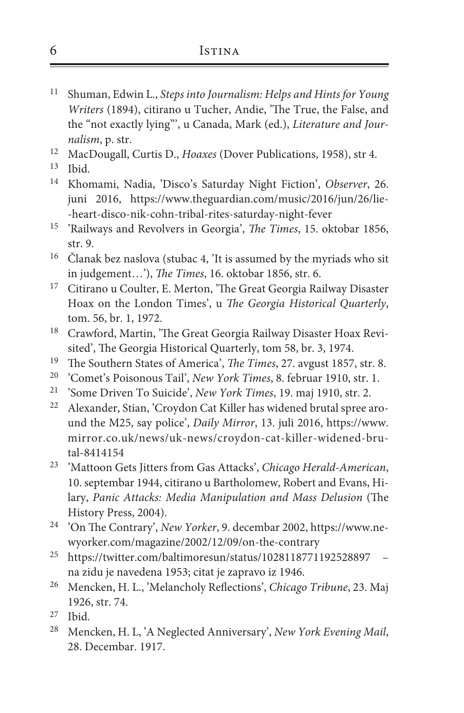- <sup>11</sup> Shuman, Edwin L., *Steps into Journalism: Helps and Hints for Young Writers* (1894), citirano u Tucher, Andie, 'The True, the False, and the "not exactly lying"', u Canada, Mark (ed.), *Literature and Journalism*, p. str.
- <sup>12</sup> MacDougall, Curtis D., *Hoaxes* (Dover Publications, 1958), str 4.
- <sup>13</sup> Ibid.
- <sup>14</sup> Khomami, Nadia, 'Disco's Saturday Night Fiction', *Observer*, 26. juni 2016, https://www.theguardian.com/music/2016/jun/26/lie- -heart-disco-nik-cohn-tribal-rites-saturday-night-fever
- <sup>15</sup> 'Railways and Revolvers in Georgia', *The Times*, 15. oktobar 1856, str. 9.
- <sup>16</sup> Članak bez naslova (stubac 4, 'It is assumed by the myriads who sit in judgement…'), *The Times*, 16. oktobar 1856, str. 6.
- <sup>17</sup> Citirano u Coulter, E. Merton, 'The Great Georgia Railway Disaster Hoax on the London Times', u *The Georgia Historical Quarterly*, tom. 56, br. 1, 1972.
- <sup>18</sup> Crawford, Martin, 'The Great Georgia Railway Disaster Hoax Revisited', The Georgia Historical Quarterly, tom 58, br. 3, 1974.
- <sup>19</sup> The Southern States of America', *The Times*, 27. avgust 1857, str. 8.
- <sup>20</sup> 'Comet's Poisonous Tail', *New York Times*, 8. februar 1910, str. 1.
- <sup>21</sup> 'Some Driven To Suicide', *New York Times*, 19. maj 1910, str. 2.
- <sup>22</sup> Alexander, Stian, 'Croydon Cat Killer has widened brutal spree around the M25, say police', *Daily Mirror*, 13. juli 2016, https://www. mirror.co.uk/news/uk-news/croydon-cat-killer-widened-brutal-8414154
- <sup>23</sup> 'Mattoon Gets Jitters from Gas Attacks', *Chicago Herald-American*, 10. septembar 1944, citirano u Bartholomew, Robert and Evans, Hilary, *Panic Attacks: Media Manipulation and Mass Delusion* (The History Press, 2004).
- <sup>24</sup> 'On The Contrary', *New Yorker*, 9. decembar 2002, https://www.newyorker.com/magazine/2002/12/09/on-the-contrary
- <sup>25</sup> https://twitter.com/baltimoresun/status/1028118771192528897 na zidu je navedena 1953; citat je zapravo iz 1946.
- <sup>26</sup> Mencken, H. L., 'Melancholy Reflections', *Chicago Tribune*, 23. Maj 1926, str. 74.
- <sup>27</sup> Ibid.
- <sup>28</sup> Mencken, H. L, 'A Neglected Anniversary', *New York Evening Mail*, 28. Decembar. 1917.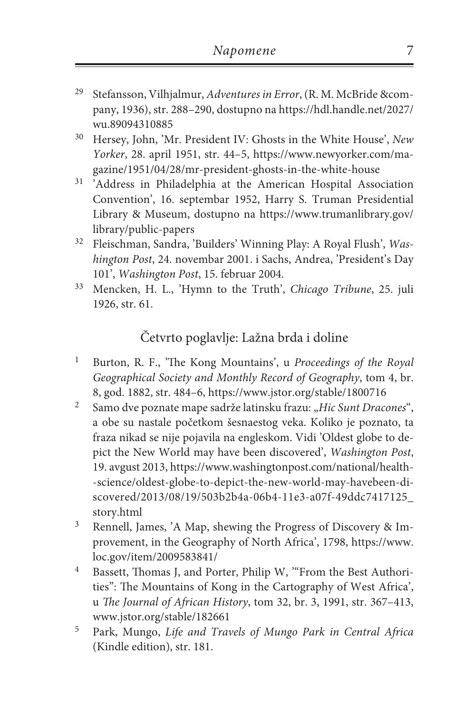- <sup>29</sup> Stefansson, Vilhjalmur, *Adventures in Error*, (R. M. McBride &company, 1936), str. 288–290, dostupno na https://hdl.handle.net/2027/ wu.89094310885
- <sup>30</sup> Hersey, John, 'Mr. President IV: Ghosts in the White House', *New Yorker*, 28. april 1951, str. 44–5, https://www.newyorker.com/magazine/1951/04/28/mr-president-ghosts-in-the-white-house
- <sup>31</sup> 'Address in Philadelphia at the American Hospital Association Convention', 16. septembar 1952, Harry S. Truman Presidential Library & Museum, dostupno na https://www.trumanlibrary.gov/ library/public-papers
- <sup>32</sup> Fleischman, Sandra, 'Builders' Winning Play: A Royal Flush', *Washington Post*, 24. novembar 2001. i Sachs, Andrea, 'President's Day 101', *Washington Post*, 15. februar 2004.
- <sup>33</sup> Mencken, H. L., 'Hymn to the Truth', *Chicago Tribune*, 25. juli 1926, str. 61.

# Četvrto poglavlje: Lažna brda i doline

- <sup>1</sup> Burton, R. F., 'The Kong Mountains', u *Proceedings of the Royal Geographical Society and Monthly Record of Geography*, tom 4, br. 8, god. 1882, str. 484–6, https://www.jstor.org/stable/1800716
- <sup>2</sup> Samo dve poznate mape sadrže latinsku frazu: "Hic Sunt Dracones", a obe su nastale početkom šesnaestog veka. Koliko je poznato, ta fraza nikad se nije pojavila na engleskom. Vidi 'Oldest globe to depict the New World may have been discovered', *Washington Post*, 19. avgust 2013, https://www.washingtonpost.com/national/health- -science/oldest-globe-to-depict-the-new-world-may-havebeen-discovered/2013/08/19/503b2b4a-06b4-11e3-a07f-49ddc7417125\_ story.html
- <sup>3</sup> Rennell, James, 'A Map, shewing the Progress of Discovery & Improvement, in the Geography of North Africa', 1798, https://www. loc.gov/item/2009583841/
- <sup>4</sup> Bassett, Thomas J, and Porter, Philip W, "From the Best Authorities": The Mountains of Kong in the Cartography of West Africa', u *The Journal of African History*, tom 32, br. 3, 1991, str. 367–413, www.jstor.org/stable/182661
- <sup>5</sup> Park, Mungo, *Life and Travels of Mungo Park in Central Africa* (Kindle edition), str. 181.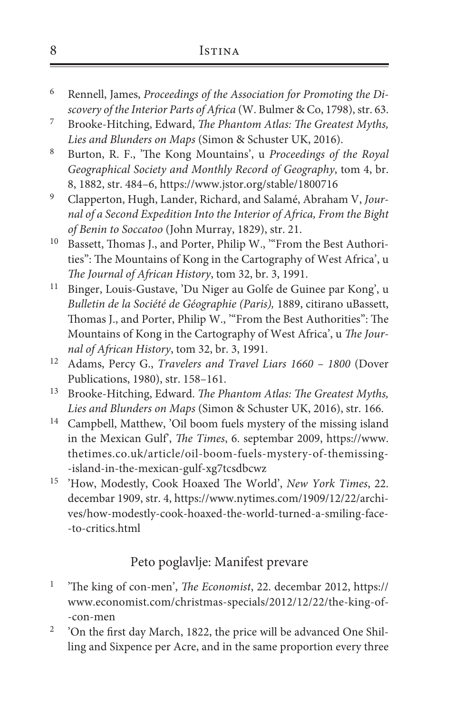| 8 | <b>ISTINA</b> |
|---|---------------|
|   |               |

- <sup>6</sup> Rennell, James, *Proceedings of the Association for Promoting the Discovery of the Interior Parts of Africa* (W. Bulmer & Co, 1798), str. 63.
- <sup>7</sup> Brooke-Hitching, Edward, *The Phantom Atlas: The Greatest Myths, Lies and Blunders on Maps* (Simon & Schuster UK, 2016).
- <sup>8</sup> Burton, R. F., 'The Kong Mountains', u *Proceedings of the Royal Geographical Society and Monthly Record of Geography*, tom 4, br. 8, 1882, str. 484–6, https://www.jstor.org/stable/1800716
- <sup>9</sup> Clapperton, Hugh, Lander, Richard, and Salamé, Abraham V, *Journal of a Second Expedition Into the Interior of Africa, From the Bight of Benin to Soccatoo* (John Murray, 1829), str. 21.
- <sup>10</sup> Bassett, Thomas J., and Porter, Philip W., "From the Best Authorities": The Mountains of Kong in the Cartography of West Africa', u *The Journal of African History*, tom 32, br. 3, 1991.
- <sup>11</sup> Binger, Louis-Gustave, 'Du Niger au Golfe de Guinee par Kong', u *Bulletin de la Société de Géographie (Paris),* 1889, citirano uBassett, Thomas J., and Porter, Philip W., '"From the Best Authorities": The Mountains of Kong in the Cartography of West Africa', u *The Journal of African History*, tom 32, br. 3, 1991.
- <sup>12</sup> Adams, Percy G., *Travelers and Travel Liars 1660 1800* (Dover Publications, 1980), str. 158–161.
- <sup>13</sup> Brooke-Hitching, Edward. *The Phantom Atlas: The Greatest Myths, Lies and Blunders on Maps* (Simon & Schuster UK, 2016), str. 166.
- <sup>14</sup> Campbell, Matthew, 'Oil boom fuels mystery of the missing island in the Mexican Gulf', *The Times*, 6. septembar 2009, https://www. thetimes.co.uk/article/oil-boom-fuels-mystery-of-themissing- -island-in-the-mexican-gulf-xg7tcsdbcwz
- <sup>15</sup> 'How, Modestly, Cook Hoaxed The World', *New York Times*, 22. decembar 1909, str. 4, https://www.nytimes.com/1909/12/22/archives/how-modestly-cook-hoaxed-the-world-turned-a-smiling-face- -to-critics.html

## Peto poglavlje: Manifest prevare

- <sup>1</sup> 'The king of con-men', *The Economist*, 22. decembar 2012, https:// www.economist.com/christmas-specials/2012/12/22/the-king-of- -con-men
- <sup>2</sup> 'On the first day March, 1822, the price will be advanced One Shilling and Sixpence per Acre, and in the same proportion every three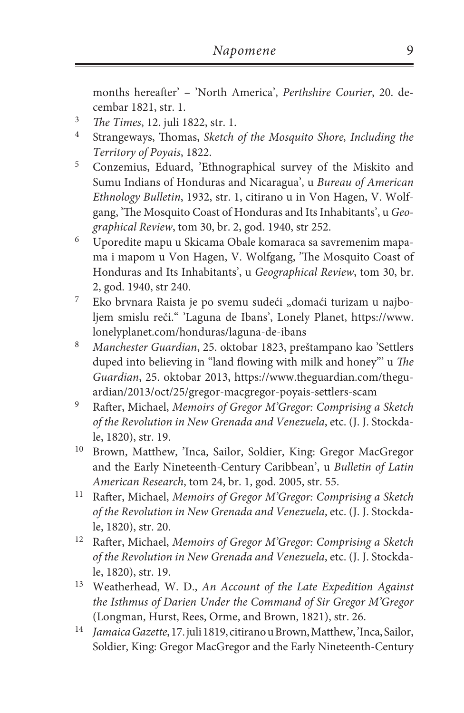months hereafter' – 'North America', *Perthshire Courier*, 20. decembar 1821, str. 1.

- <sup>3</sup> *The Times*, 12. juli 1822, str. 1.
- <sup>4</sup> Strangeways, Thomas, *Sketch of the Mosquito Shore, Including the Territory of Poyais*, 1822.
- <sup>5</sup> Conzemius, Eduard, 'Ethnographical survey of the Miskito and Sumu Indians of Honduras and Nicaragua', u *Bureau of American Ethnology Bulletin*, 1932, str. 1, citirano u in Von Hagen, V. Wolfgang, 'The Mosquito Coast of Honduras and Its Inhabitants', u *Geographical Review*, tom 30, br. 2, god. 1940, str 252.
- <sup>6</sup> Uporedite mapu u Skicama Obale komaraca sa savremenim mapama i mapom u Von Hagen, V. Wolfgang, 'The Mosquito Coast of Honduras and Its Inhabitants', u *Geographical Review*, tom 30, br. 2, god. 1940, str 240.
- <sup>7</sup> Eko brvnara Raista je po svemu sudeći "domaći turizam u najboljem smislu reči." 'Laguna de Ibans', Lonely Planet, https://www. lonelyplanet.com/honduras/laguna-de-ibans
- <sup>8</sup> *Manchester Guardian*, 25. oktobar 1823, preštampano kao 'Settlers duped into believing in "land flowing with milk and honey"' u *The Guardian*, 25. oktobar 2013, https://www.theguardian.com/theguardian/2013/oct/25/gregor-macgregor-poyais-settlers-scam
- <sup>9</sup> Rafter, Michael, *Memoirs of Gregor M'Gregor: Comprising a Sketch of the Revolution in New Grenada and Venezuela*, etc. (J. J. Stockdale, 1820), str. 19.
- <sup>10</sup> Brown, Matthew, 'Inca, Sailor, Soldier, King: Gregor MacGregor and the Early Nineteenth-Century Caribbean', u *Bulletin of Latin American Research*, tom 24, br. 1, god. 2005, str. 55.
- <sup>11</sup> Rafter, Michael, *Memoirs of Gregor M'Gregor: Comprising a Sketch of the Revolution in New Grenada and Venezuela*, etc. (J. J. Stockdale, 1820), str. 20.
- <sup>12</sup> Rafter, Michael, *Memoirs of Gregor M'Gregor: Comprising a Sketch of the Revolution in New Grenada and Venezuela*, etc. (J. J. Stockdale, 1820), str. 19.
- <sup>13</sup> Weatherhead, W. D., *An Account of the Late Expedition Against the Isthmus of Darien Under the Command of Sir Gregor M'Gregor*  (Longman, Hurst, Rees, Orme, and Brown, 1821), str. 26.
- <sup>14</sup> *Jamaica Gazette*, 17. juli 1819, citirano u Brown, Matthew, 'Inca, Sailor, Soldier, King: Gregor MacGregor and the Early Nineteenth-Century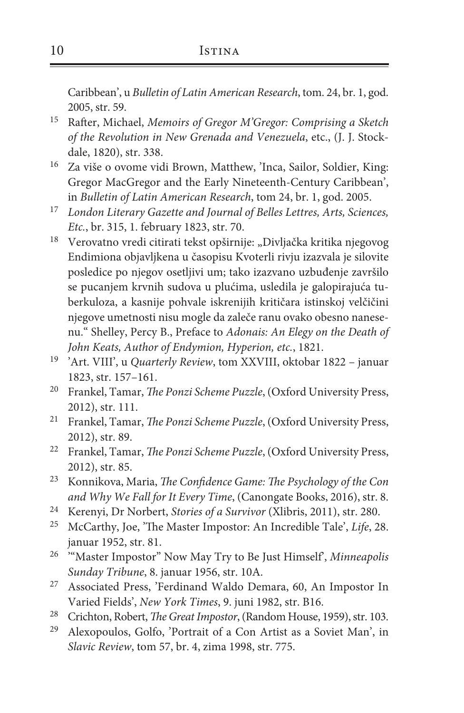Caribbean', u *Bulletin of Latin American Research*, tom. 24, br. 1, god. 2005, str. 59.

- <sup>15</sup> Rafter, Michael, *Memoirs of Gregor M'Gregor: Comprising a Sketch of the Revolution in New Grenada and Venezuela*, etc., (J. J. Stockdale, 1820), str. 338.
- <sup>16</sup> Za više o ovome vidi Brown, Matthew, 'Inca, Sailor, Soldier, King: Gregor MacGregor and the Early Nineteenth-Century Caribbean', in *Bulletin of Latin American Research*, tom 24, br. 1, god. 2005.
- <sup>17</sup> *London Literary Gazette and Journal of Belles Lettres, Arts, Sciences, Etc.*, br. 315, 1. february 1823, str. 70.
- <sup>18</sup> Verovatno vredi citirati tekst opširnije: "Divljačka kritika njegovog Endimiona objavljkena u časopisu Kvoterli rivju izazvala je silovite posledice po njegov osetljivi um; tako izazvano uzbuđenje završilo se pucanjem krvnih sudova u plućima, usledila je galopirajuća tuberkuloza, a kasnije pohvale iskrenijih kritičara istinskoj velčičini njegove umetnosti nisu mogle da zaleče ranu ovako obesno nanesenu." Shelley, Percy B., Preface to *Adonais: An Elegy on the Death of John Keats, Author of Endymion, Hyperion, etc.*, 1821.
- <sup>19</sup> 'Art. VIII', u *Quarterly Review*, tom XXVIII, oktobar 1822 januar 1823, str. 157–161.
- <sup>20</sup> Frankel, Tamar, *The Ponzi Scheme Puzzle*, (Oxford University Press, 2012), str. 111.
- <sup>21</sup> Frankel, Tamar, *The Ponzi Scheme Puzzle*, (Oxford University Press, 2012), str. 89.
- <sup>22</sup> Frankel, Tamar, *The Ponzi Scheme Puzzle*, (Oxford University Press, 2012), str. 85.
- <sup>23</sup> Konnikova, Maria, *The Confidence Game: The Psychology of the Con and Why We Fall for It Every Time*, (Canongate Books, 2016), str. 8.
- <sup>24</sup> Kerenyi, Dr Norbert, *Stories of a Survivor* (Xlibris, 2011), str. 280.
- <sup>25</sup> McCarthy, Joe, 'The Master Impostor: An Incredible Tale', *Life*, 28. januar 1952, str. 81.
- <sup>26</sup> "Master Impostor" Now May Try to Be Just Himself', *Minneapolis Sunday Tribune*, 8. januar 1956, str. 10A.
- <sup>27</sup> Associated Press, 'Ferdinand Waldo Demara, 60, An Impostor In Varied Fields', *New York Times*, 9. juni 1982, str. B16.
- <sup>28</sup> Crichton, Robert, *The Great Impostor*, (Random House, 1959), str. 103.
- <sup>29</sup> Alexopoulos, Golfo, 'Portrait of a Con Artist as a Soviet Man', in *Slavic Review*, tom 57, br. 4, zima 1998, str. 775.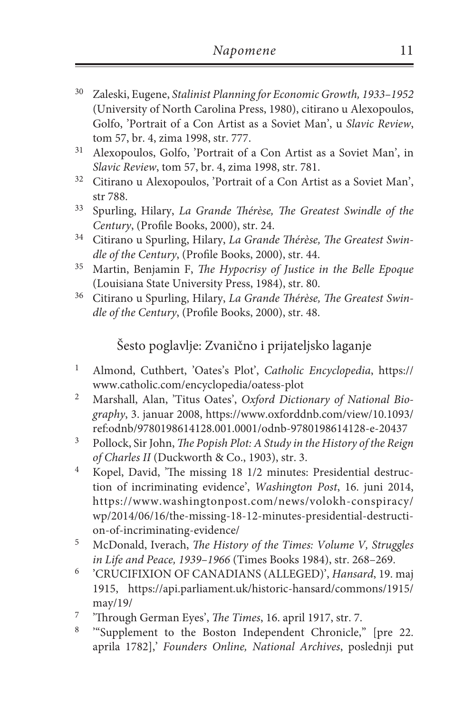- <sup>30</sup> Zaleski, Eugene, *Stalinist Planning for Economic Growth, 1933–1952*  (University of North Carolina Press, 1980), citirano u Alexopoulos, Golfo, 'Portrait of a Con Artist as a Soviet Man', u *Slavic Review*, tom 57, br. 4, zima 1998, str. 777.
- <sup>31</sup> Alexopoulos, Golfo, 'Portrait of a Con Artist as a Soviet Man', in *Slavic Review*, tom 57, br. 4, zima 1998, str. 781.
- <sup>32</sup> Citirano u Alexopoulos, 'Portrait of a Con Artist as a Soviet Man', str 788.
- <sup>33</sup> Spurling, Hilary, *La Grande Thérèse, The Greatest Swindle of the Century*, (Profile Books, 2000), str. 24.
- <sup>34</sup> Citirano u Spurling, Hilary, *La Grande Thérèse, The Greatest Swindle of the Century*, (Profile Books, 2000), str. 44.
- <sup>35</sup> Martin, Benjamin F, *The Hypocrisy of Justice in the Belle Epoque*  (Louisiana State University Press, 1984), str. 80.
- <sup>36</sup> Citirano u Spurling, Hilary, *La Grande Thérèse, The Greatest Swindle of the Century*, (Profile Books, 2000), str. 48.

Šesto poglavlje: Zvanično i prijateljsko laganje

- <sup>1</sup> Almond, Cuthbert, 'Oates's Plot', *Catholic Encyclopedia*, https:// www.catholic.com/encyclopedia/oatess-plot
- <sup>2</sup> Marshall, Alan, 'Titus Oates', *Oxford Dictionary of National Biography*, 3. januar 2008, https://www.oxforddnb.com/view/10.1093/ ref:odnb/9780198614128.001.0001/odnb-9780198614128-e-20437
- <sup>3</sup> Pollock, Sir John, *The Popish Plot: A Study in the History of the Reign of Charles II* (Duckworth & Co., 1903), str. 3.
- <sup>4</sup> Kopel, David, 'The missing 18 1/2 minutes: Presidential destruction of incriminating evidence', *Washington Post*, 16. juni 2014, https://www.washingtonpost.com/news/volokh-conspiracy/ wp/2014/06/16/the-missing-18-12-minutes-presidential-destruction-of-incriminating-evidence/
- <sup>5</sup> McDonald, Iverach, *The History of the Times: Volume V, Struggles in Life and Peace, 1939–1966* (Times Books 1984), str. 268–269.
- <sup>6</sup> 'CRUCIFIXION OF CANADIANS (ALLEGED)', *Hansard*, 19. maj 1915, https://api.parliament.uk/historic-hansard/commons/1915/ may/19/
- <sup>7</sup> 'Through German Eyes', *The Times*, 16. april 1917, str. 7.
- <sup>8</sup> '"Supplement to the Boston Independent Chronicle," [pre 22. aprila 1782],' *Founders Online, National Archives*, poslednji put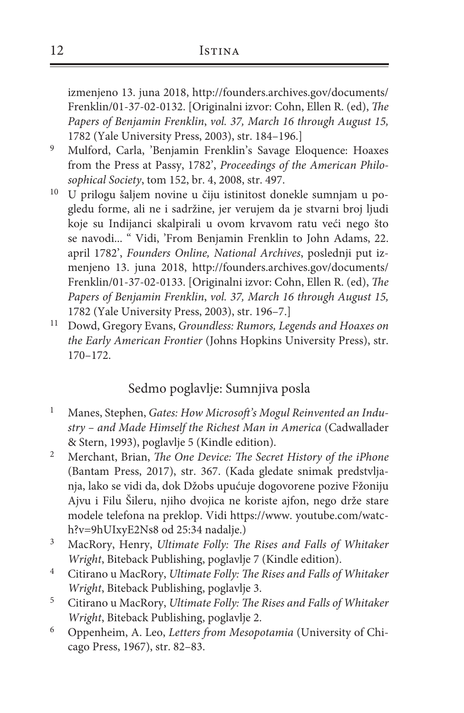izmenjeno 13. juna 2018, http://founders.archives.gov/documents/ Frenklin/01-37-02-0132. [Originalni izvor: Cohn, Ellen R. (ed), *The Papers of Benjamin Frenklin*, *vol. 37, March 16 through August 15,*  1782 (Yale University Press, 2003), str. 184–196.]

- <sup>9</sup> Mulford, Carla, 'Benjamin Frenklin's Savage Eloquence: Hoaxes from the Press at Passy, 1782', *Proceedings of the American Philosophical Society*, tom 152, br. 4, 2008, str. 497.
- <sup>10</sup> U prilogu šaljem novine u čiju istinitost donekle sumnjam u pogledu forme, ali ne i sadržine, jer verujem da je stvarni broj ljudi koje su Indijanci skalpirali u ovom krvavom ratu veći nego što se navodi... " Vidi, 'From Benjamin Frenklin to John Adams, 22. april 1782', *Founders Online, National Archives*, poslednji put izmenjeno 13. juna 2018, http://founders.archives.gov/documents/ Frenklin/01-37-02-0133. [Originalni izvor: Cohn, Ellen R. (ed), *The Papers of Benjamin Frenklin*, *vol. 37, March 16 through August 15,*  1782 (Yale University Press, 2003), str. 196–7.]
- <sup>11</sup> Dowd, Gregory Evans, *Groundless: Rumors, Legends and Hoaxes on the Early American Frontier* (Johns Hopkins University Press), str. 170–172.

## Sedmo poglavlje: Sumnjiva posla

- <sup>1</sup> Manes, Stephen, *Gates: How Microsoft's Mogul Reinvented an Industry – and Made Himself the Richest Man in America* (Cadwallader & Stern, 1993), poglavlje 5 (Kindle edition).
- <sup>2</sup> Merchant, Brian, *The One Device: The Secret History of the iPhone*  (Bantam Press, 2017), str. 367. (Kada gledate snimak predstvljanja, lako se vidi da, dok Džobs upućuje dogovorene pozive Fžoniju Ajvu i Filu Šileru, njiho dvojica ne koriste ajfon, nego drže stare modele telefona na preklop. Vidi https://www. youtube.com/watch?v=9hUIxyE2Ns8 od 25:34 nadalje.)
- <sup>3</sup> MacRory, Henry, *Ultimate Folly: The Rises and Falls of Whitaker Wright*, Biteback Publishing, poglavlje 7 (Kindle edition).
- <sup>4</sup> Citirano u MacRory, *Ultimate Folly: The Rises and Falls of Whitaker Wright*, Biteback Publishing, poglavlje 3.
- <sup>5</sup> Citirano u MacRory, *Ultimate Folly: The Rises and Falls of Whitaker Wright*, Biteback Publishing, poglavlje 2.
- <sup>6</sup> Oppenheim, A. Leo, *Letters from Mesopotamia* (University of Chicago Press, 1967), str. 82–83.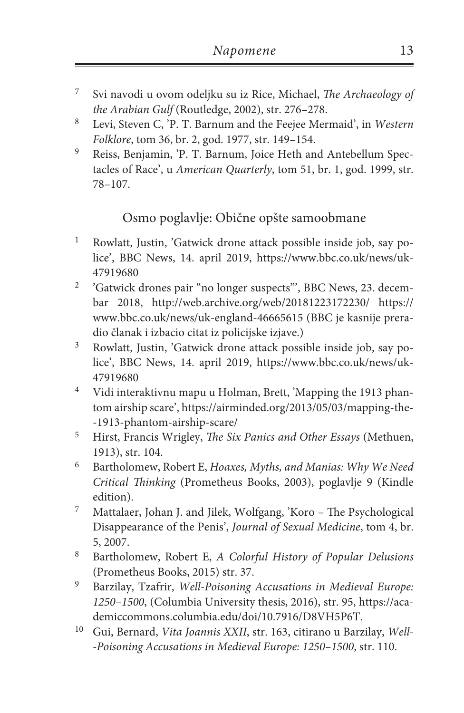- <sup>7</sup> Svi navodi u ovom odeljku su iz Rice, Michael, *The Archaeology of the Arabian Gulf* (Routledge, 2002), str. 276–278.
- <sup>8</sup> Levi, Steven C, 'P. T. Barnum and the Feejee Mermaid', in *Western Folklore*, tom 36, br. 2, god. 1977, str. 149–154.
- <sup>9</sup> Reiss, Benjamin, 'P. T. Barnum, Joice Heth and Antebellum Spectacles of Race', u *American Quarterly*, tom 51, br. 1, god. 1999, str. 78–107.

# Osmo poglavlje: Obične opšte samoobmane

- <sup>1</sup> Rowlatt, Justin, 'Gatwick drone attack possible inside job, say police', BBC News, 14. april 2019, https://www.bbc.co.uk/news/uk-47919680
- <sup>2</sup> 'Gatwick drones pair "no longer suspects"', BBC News, 23. decembar 2018, http://web.archive.org/web/20181223172230/ https:// www.bbc.co.uk/news/uk-england-46665615 (BBC je kasnije preradio članak i izbacio citat iz policijske izjave.)
- <sup>3</sup> Rowlatt, Justin, 'Gatwick drone attack possible inside job, say police', BBC News, 14. april 2019, https://www.bbc.co.uk/news/uk-47919680
- <sup>4</sup> Vidi interaktivnu mapu u Holman, Brett, 'Mapping the 1913 phantom airship scare', https://airminded.org/2013/05/03/mapping-the- -1913-phantom-airship-scare/
- <sup>5</sup> Hirst, Francis Wrigley, *The Six Panics and Other Essays* (Methuen, 1913), str. 104.
- <sup>6</sup> Bartholomew, Robert E, *Hoaxes, Myths, and Manias: Why We Need Critical Thinking* (Prometheus Books, 2003), poglavlje 9 (Kindle edition).
- <sup>7</sup> Mattalaer, Johan J. and Jilek, Wolfgang, 'Koro The Psychological Disappearance of the Penis', *Journal of Sexual Medicine*, tom 4, br. 5, 2007.
- <sup>8</sup> Bartholomew, Robert E, *A Colorful History of Popular Delusions*  (Prometheus Books, 2015) str. 37.
- <sup>9</sup> Barzilay, Tzafrir, *Well-Poisoning Accusations in Medieval Europe: 1250–1500*, (Columbia University thesis, 2016), str. 95, https://academiccommons.columbia.edu/doi/10.7916/D8VH5P6T.
- <sup>10</sup> Gui, Bernard, *Vita Joannis XXII*, str. 163, citirano u Barzilay, *Well- -Poisoning Accusations in Medieval Europe: 1250–1500*, str. 110.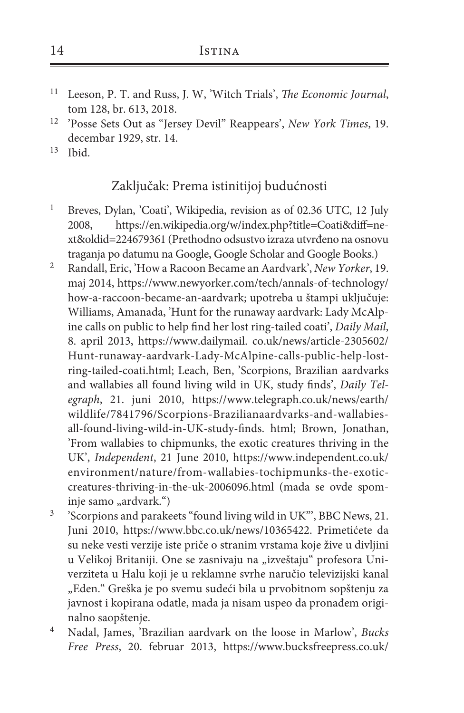- <sup>11</sup> Leeson, P. T. and Russ, J. W, 'Witch Trials', *The Economic Journal*, tom 128, br. 613, 2018.
- <sup>12</sup> 'Posse Sets Out as "Jersey Devil" Reappears', *New York Times*, 19. decembar 1929, str. 14.
- $13$  Ibid.

#### Zaključak: Prema istinitijoj budućnosti

- <sup>1</sup> Breves, Dylan, 'Coati', Wikipedia, revision as of 02.36 UTC, 12 July 2008, https://en.wikipedia.org/w/index.php?title=Coati&diff=next&oldid=224679361 (Prethodno odsustvo izraza utvrđeno na osnovu traganja po datumu na Google, Google Scholar and Google Books.)
- <sup>2</sup> Randall, Eric, 'How a Racoon Became an Aardvark', *New Yorker*, 19. maj 2014, https://www.newyorker.com/tech/annals-of-technology/ how-a-raccoon-became-an-aardvark; upotreba u štampi uključuje: Williams, Amanada, 'Hunt for the runaway aardvark: Lady McAlpine calls on public to help find her lost ring-tailed coati', *Daily Mail*, 8. april 2013, https://www.dailymail. co.uk/news/article-2305602/ Hunt-runaway-aardvark-Lady-McAlpine-calls-public-help-lostring-tailed-coati.html; Leach, Ben, 'Scorpions, Brazilian aardvarks and wallabies all found living wild in UK, study finds', *Daily Telegraph*, 21. juni 2010, https://www.telegraph.co.uk/news/earth/ wildlife/7841796/Scorpions-Brazilianaardvarks-and-wallabiesall-found-living-wild-in-UK-study-finds. html; Brown, Jonathan, 'From wallabies to chipmunks, the exotic creatures thriving in the UK', *Independent*, 21 June 2010, https://www.independent.co.uk/ environment/nature/from-wallabies-tochipmunks-the-exoticcreatures-thriving-in-the-uk-2006096.html (mada se ovde spominje samo "ardvark.")
- <sup>3</sup> 'Scorpions and parakeets "found living wild in UK"', BBC News, 21. Juni 2010, https://www.bbc.co.uk/news/10365422. Primetićete da su neke vesti verzije iste priče o stranim vrstama koje žive u divljini u Velikoj Britaniji. One se zasnivaju na "izveštaju" profesora Univerziteta u Halu koji je u reklamne svrhe naručio televizijski kanal "Eden." Greška je po svemu sudeći bila u prvobitnom sopštenju za javnost i kopirana odatle, mada ja nisam uspeo da pronađem originalno saopštenje.
- <sup>4</sup> Nadal, James, 'Brazilian aardvark on the loose in Marlow', *Bucks Free Press*, 20. februar 2013, https://www.bucksfreepress.co.uk/